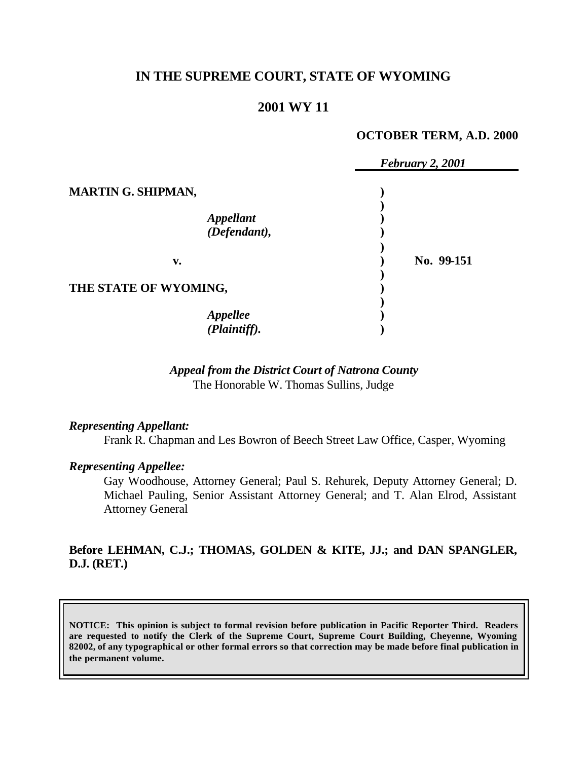# **IN THE SUPREME COURT, STATE OF WYOMING**

## **2001 WY 11**

#### **OCTOBER TERM, A.D. 2000**

|                           | <b>February 2, 2001</b> |
|---------------------------|-------------------------|
| <b>MARTIN G. SHIPMAN,</b> |                         |
|                           |                         |
| <b>Appellant</b>          |                         |
| $(\hat{D}efendant)$ ,     |                         |
|                           |                         |
| v.                        | No. 99-151              |
|                           |                         |
| THE STATE OF WYOMING,     |                         |
|                           |                         |
|                           |                         |
| Appellee<br>(Plaintiff).  |                         |

### *Appeal from the District Court of Natrona County* The Honorable W. Thomas Sullins, Judge

#### *Representing Appellant:*

Frank R. Chapman and Les Bowron of Beech Street Law Office, Casper, Wyoming

#### *Representing Appellee:*

Gay Woodhouse, Attorney General; Paul S. Rehurek, Deputy Attorney General; D. Michael Pauling, Senior Assistant Attorney General; and T. Alan Elrod, Assistant Attorney General

### **Before LEHMAN, C.J.; THOMAS, GOLDEN & KITE, JJ.; and DAN SPANGLER, D.J. (RET.)**

**NOTICE: This opinion is subject to formal revision before publication in Pacific Reporter Third. Readers are requested to notify the Clerk of the Supreme Court, Supreme Court Building, Cheyenne, Wyoming 82002, of any typographical or other formal errors so that correction may be made before final publication in the permanent volume.**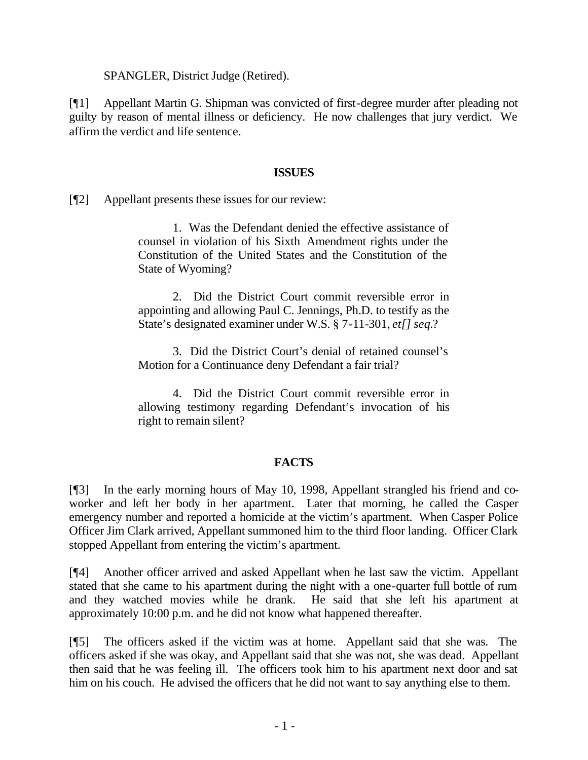SPANGLER, District Judge (Retired).

[¶1] Appellant Martin G. Shipman was convicted of first-degree murder after pleading not guilty by reason of mental illness or deficiency. He now challenges that jury verdict. We affirm the verdict and life sentence.

#### **ISSUES**

[¶2] Appellant presents these issues for our review:

1. Was the Defendant denied the effective assistance of counsel in violation of his Sixth Amendment rights under the Constitution of the United States and the Constitution of the State of Wyoming?

2. Did the District Court commit reversible error in appointing and allowing Paul C. Jennings, Ph.D. to testify as the State's designated examiner under W.S. § 7-11-301, *et[] seq.*?

3. Did the District Court's denial of retained counsel's Motion for a Continuance deny Defendant a fair trial?

4. Did the District Court commit reversible error in allowing testimony regarding Defendant's invocation of his right to remain silent?

### **FACTS**

[¶3] In the early morning hours of May 10, 1998, Appellant strangled his friend and coworker and left her body in her apartment. Later that morning, he called the Casper emergency number and reported a homicide at the victim's apartment. When Casper Police Officer Jim Clark arrived, Appellant summoned him to the third floor landing. Officer Clark stopped Appellant from entering the victim's apartment.

[¶4] Another officer arrived and asked Appellant when he last saw the victim. Appellant stated that she came to his apartment during the night with a one-quarter full bottle of rum and they watched movies while he drank. He said that she left his apartment at approximately 10:00 p.m. and he did not know what happened thereafter.

[¶5] The officers asked if the victim was at home. Appellant said that she was. The officers asked if she was okay, and Appellant said that she was not, she was dead. Appellant then said that he was feeling ill. The officers took him to his apartment next door and sat him on his couch. He advised the officers that he did not want to say anything else to them.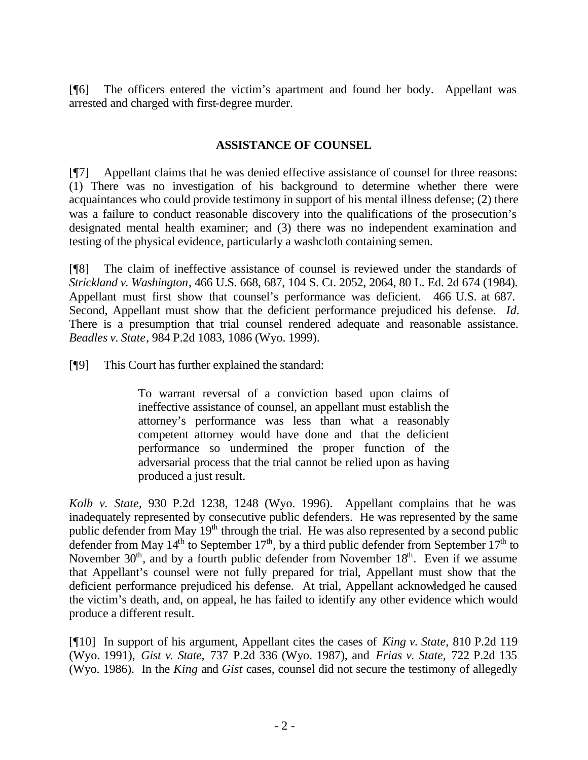[¶6] The officers entered the victim's apartment and found her body. Appellant was arrested and charged with first-degree murder.

# **ASSISTANCE OF COUNSEL**

[¶7] Appellant claims that he was denied effective assistance of counsel for three reasons: (1) There was no investigation of his background to determine whether there were acquaintances who could provide testimony in support of his mental illness defense; (2) there was a failure to conduct reasonable discovery into the qualifications of the prosecution's designated mental health examiner; and (3) there was no independent examination and testing of the physical evidence, particularly a washcloth containing semen.

[¶8] The claim of ineffective assistance of counsel is reviewed under the standards of *Strickland v. Washington*, 466 U.S. 668, 687, 104 S. Ct. 2052, 2064, 80 L. Ed. 2d 674 (1984). Appellant must first show that counsel's performance was deficient. 466 U.S. at 687. Second, Appellant must show that the deficient performance prejudiced his defense. *Id.* There is a presumption that trial counsel rendered adequate and reasonable assistance. *Beadles v. State*, 984 P.2d 1083, 1086 (Wyo. 1999).

[¶9] This Court has further explained the standard:

To warrant reversal of a conviction based upon claims of ineffective assistance of counsel, an appellant must establish the attorney's performance was less than what a reasonably competent attorney would have done and that the deficient performance so undermined the proper function of the adversarial process that the trial cannot be relied upon as having produced a just result.

*Kolb v. State,* 930 P.2d 1238, 1248 (Wyo. 1996). Appellant complains that he was inadequately represented by consecutive public defenders. He was represented by the same public defender from May 19<sup>th</sup> through the trial. He was also represented by a second public defender from May  $14<sup>th</sup>$  to September  $17<sup>th</sup>$ , by a third public defender from September  $17<sup>th</sup>$  to November  $30<sup>th</sup>$ , and by a fourth public defender from November  $18<sup>th</sup>$ . Even if we assume that Appellant's counsel were not fully prepared for trial, Appellant must show that the deficient performance prejudiced his defense. At trial, Appellant acknowledged he caused the victim's death, and, on appeal, he has failed to identify any other evidence which would produce a different result.

[¶10] In support of his argument, Appellant cites the cases of *King v. State,* 810 P.2d 119 (Wyo. 1991), *Gist v. State,* 737 P.2d 336 (Wyo. 1987), and *Frias v. State,* 722 P.2d 135 (Wyo. 1986). In the *King* and *Gist* cases, counsel did not secure the testimony of allegedly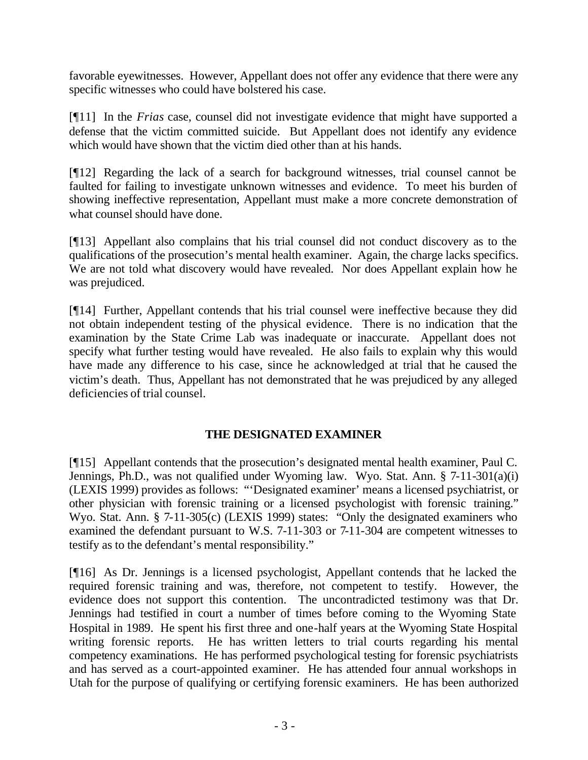favorable eyewitnesses. However, Appellant does not offer any evidence that there were any specific witnesses who could have bolstered his case.

[¶11] In the *Frias* case, counsel did not investigate evidence that might have supported a defense that the victim committed suicide. But Appellant does not identify any evidence which would have shown that the victim died other than at his hands.

[¶12] Regarding the lack of a search for background witnesses, trial counsel cannot be faulted for failing to investigate unknown witnesses and evidence. To meet his burden of showing ineffective representation, Appellant must make a more concrete demonstration of what counsel should have done.

[¶13] Appellant also complains that his trial counsel did not conduct discovery as to the qualifications of the prosecution's mental health examiner. Again, the charge lacks specifics. We are not told what discovery would have revealed. Nor does Appellant explain how he was prejudiced.

[¶14] Further, Appellant contends that his trial counsel were ineffective because they did not obtain independent testing of the physical evidence. There is no indication that the examination by the State Crime Lab was inadequate or inaccurate. Appellant does not specify what further testing would have revealed. He also fails to explain why this would have made any difference to his case, since he acknowledged at trial that he caused the victim's death. Thus, Appellant has not demonstrated that he was prejudiced by any alleged deficiencies of trial counsel.

## **THE DESIGNATED EXAMINER**

[¶15] Appellant contends that the prosecution's designated mental health examiner, Paul C. Jennings, Ph.D., was not qualified under Wyoming law. Wyo. Stat. Ann. § 7-11-301(a)(i) (LEXIS 1999) provides as follows: "'Designated examiner' means a licensed psychiatrist, or other physician with forensic training or a licensed psychologist with forensic training." Wyo. Stat. Ann. § 7-11-305(c) (LEXIS 1999) states: "Only the designated examiners who examined the defendant pursuant to W.S. 7-11-303 or 7-11-304 are competent witnesses to testify as to the defendant's mental responsibility."

[¶16] As Dr. Jennings is a licensed psychologist, Appellant contends that he lacked the required forensic training and was, therefore, not competent to testify. However, the evidence does not support this contention. The uncontradicted testimony was that Dr. Jennings had testified in court a number of times before coming to the Wyoming State Hospital in 1989. He spent his first three and one-half years at the Wyoming State Hospital writing forensic reports. He has written letters to trial courts regarding his mental competency examinations. He has performed psychological testing for forensic psychiatrists and has served as a court-appointed examiner. He has attended four annual workshops in Utah for the purpose of qualifying or certifying forensic examiners. He has been authorized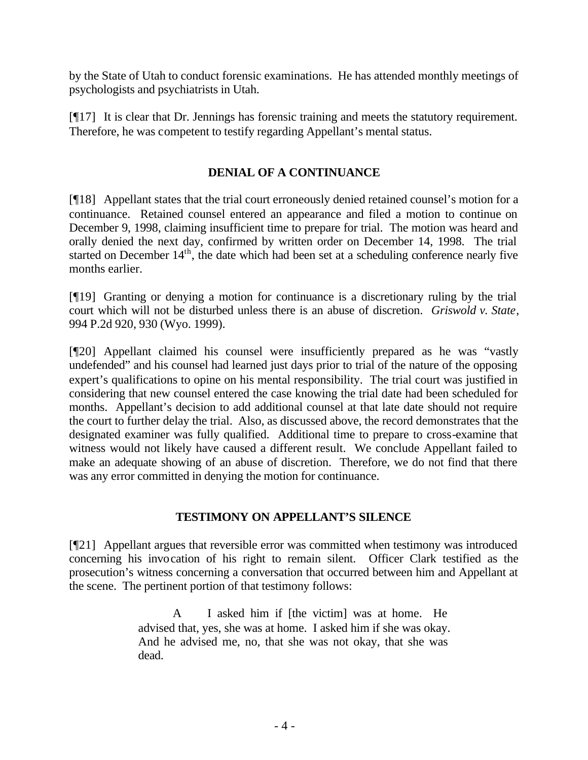by the State of Utah to conduct forensic examinations. He has attended monthly meetings of psychologists and psychiatrists in Utah.

[¶17] It is clear that Dr. Jennings has forensic training and meets the statutory requirement. Therefore, he was competent to testify regarding Appellant's mental status.

# **DENIAL OF A CONTINUANCE**

[¶18] Appellant states that the trial court erroneously denied retained counsel's motion for a continuance. Retained counsel entered an appearance and filed a motion to continue on December 9, 1998, claiming insufficient time to prepare for trial. The motion was heard and orally denied the next day, confirmed by written order on December 14, 1998. The trial started on December  $14<sup>th</sup>$ , the date which had been set at a scheduling conference nearly five months earlier.

[¶19] Granting or denying a motion for continuance is a discretionary ruling by the trial court which will not be disturbed unless there is an abuse of discretion. *Griswold v. State*, 994 P.2d 920, 930 (Wyo. 1999).

[¶20] Appellant claimed his counsel were insufficiently prepared as he was "vastly undefended" and his counsel had learned just days prior to trial of the nature of the opposing expert's qualifications to opine on his mental responsibility. The trial court was justified in considering that new counsel entered the case knowing the trial date had been scheduled for months. Appellant's decision to add additional counsel at that late date should not require the court to further delay the trial. Also, as discussed above, the record demonstrates that the designated examiner was fully qualified. Additional time to prepare to cross-examine that witness would not likely have caused a different result. We conclude Appellant failed to make an adequate showing of an abuse of discretion. Therefore, we do not find that there was any error committed in denying the motion for continuance.

## **TESTIMONY ON APPELLANT'S SILENCE**

[¶21] Appellant argues that reversible error was committed when testimony was introduced concerning his invocation of his right to remain silent. Officer Clark testified as the prosecution's witness concerning a conversation that occurred between him and Appellant at the scene. The pertinent portion of that testimony follows:

> A I asked him if [the victim] was at home. He advised that, yes, she was at home. I asked him if she was okay. And he advised me, no, that she was not okay, that she was dead.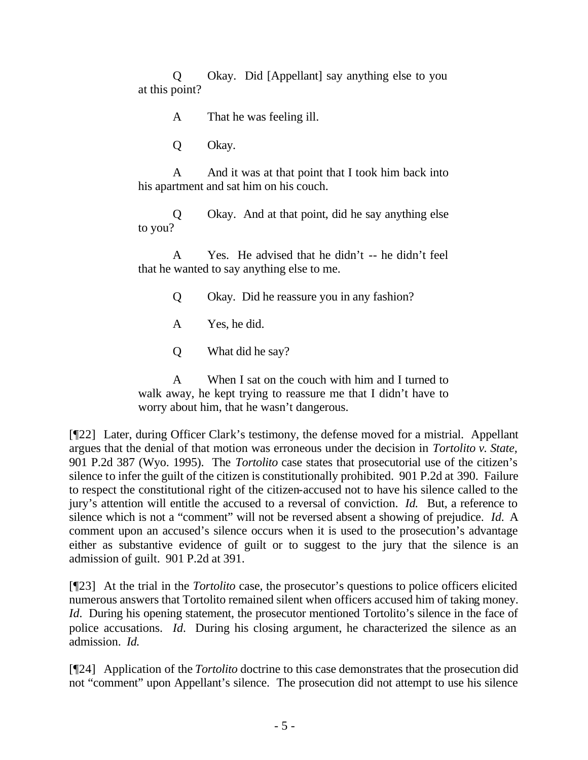Q Okay. Did [Appellant] say anything else to you at this point?

A That he was feeling ill.

Q Okay.

A And it was at that point that I took him back into his apartment and sat him on his couch.

Q Okay. And at that point, did he say anything else to you?

A Yes. He advised that he didn't -- he didn't feel that he wanted to say anything else to me.

Q Okay. Did he reassure you in any fashion?

- A Yes, he did.
- Q What did he say?

A When I sat on the couch with him and I turned to walk away, he kept trying to reassure me that I didn't have to worry about him, that he wasn't dangerous.

[¶22] Later, during Officer Clark's testimony, the defense moved for a mistrial. Appellant argues that the denial of that motion was erroneous under the decision in *Tortolito v. State,*  901 P.2d 387 (Wyo. 1995). The *Tortolito* case states that prosecutorial use of the citizen's silence to infer the guilt of the citizen is constitutionally prohibited. 901 P.2d at 390. Failure to respect the constitutional right of the citizen-accused not to have his silence called to the jury's attention will entitle the accused to a reversal of conviction. *Id.* But, a reference to silence which is not a "comment" will not be reversed absent a showing of prejudice. *Id.* A comment upon an accused's silence occurs when it is used to the prosecution's advantage either as substantive evidence of guilt or to suggest to the jury that the silence is an admission of guilt. 901 P.2d at 391.

[¶23] At the trial in the *Tortolito* case, the prosecutor's questions to police officers elicited numerous answers that Tortolito remained silent when officers accused him of taking money. *Id.* During his opening statement, the prosecutor mentioned Tortolito's silence in the face of police accusations. *Id.* During his closing argument, he characterized the silence as an admission. *Id.* 

[¶24] Application of the *Tortolito* doctrine to this case demonstrates that the prosecution did not "comment" upon Appellant's silence. The prosecution did not attempt to use his silence